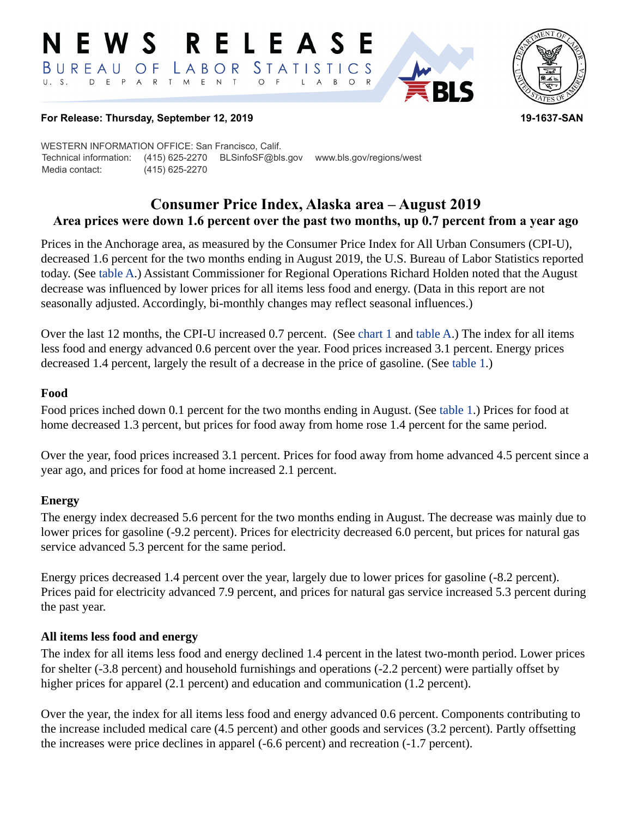#### RELEASE E W S STATISTICS  $B$  U R E A U O F  $L$   $A$   $B$   $O$   $R$ D E P A R T M E N T  $\circ$  $\mathsf{A}$  $B$  $\circ$  $\mathsf{L}$



## **For Release: Thursday, September 12, 2019 19-1637-SAN**

WESTERN INFORMATION OFFICE: San Francisco, Calif. Technical information: (415) 625-2270 BLSinfoSF@bls.gov www.bls.gov/regions/west Media contact: (415) 625-2270

## **Consumer Price Index, Alaska area – August 2019 Area prices were down 1.6 percent over the past two months, up 0.7 percent from a year ago**

Prices in the Anchorage area, as measured by the Consumer Price Index for All Urban Consumers (CPI-U), decreased 1.6 percent for the two months ending in August 2019, the U.S. Bureau of Labor Statistics reported today. (See table A.) Assistant Commissioner for Regional Operations Richard Holden noted that the August decrease was influenced by lower prices for all items less food and energy. (Data in this report are not seasonally adjusted. Accordingly, bi-monthly changes may reflect seasonal influences.)

Over the last 12 months, the CPI-U increased 0.7 percent. (See chart 1 and table A.) The index for all items less food and energy advanced 0.6 percent over the year. Food prices increased 3.1 percent. Energy prices decreased 1.4 percent, largely the result of a decrease in the price of gasoline. (See [table 1.](#page-3-0))

## **Food**

Food prices inched down 0.1 percent for the two months ending in August. (See [table 1](#page-3-0).) Prices for food at home decreased 1.3 percent, but prices for food away from home rose 1.4 percent for the same period.

Over the year, food prices increased 3.1 percent. Prices for food away from home advanced 4.5 percent since a year ago, and prices for food at home increased 2.1 percent.

## **Energy**

The energy index decreased 5.6 percent for the two months ending in August. The decrease was mainly due to lower prices for gasoline (-9.2 percent). Prices for electricity decreased 6.0 percent, but prices for natural gas service advanced 5.3 percent for the same period.

Energy prices decreased 1.4 percent over the year, largely due to lower prices for gasoline (-8.2 percent). Prices paid for electricity advanced 7.9 percent, and prices for natural gas service increased 5.3 percent during the past year.

## **All items less food and energy**

The index for all items less food and energy declined 1.4 percent in the latest two-month period. Lower prices for shelter (-3.8 percent) and household furnishings and operations (-2.2 percent) were partially offset by higher prices for apparel (2.1 percent) and education and communication (1.2 percent).

Over the year, the index for all items less food and energy advanced 0.6 percent. Components contributing to the increase included medical care (4.5 percent) and other goods and services (3.2 percent). Partly offsetting the increases were price declines in apparel (-6.6 percent) and recreation (-1.7 percent).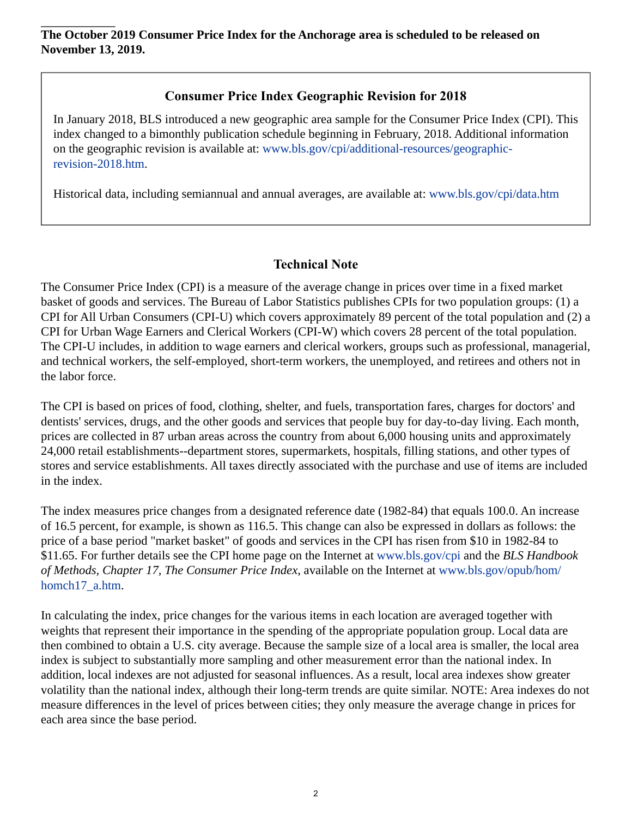# **Consumer Price Index Geographic Revision for 2018**

In January 2018, BLS introduced a new geographic area sample for the Consumer Price Index (CPI). This index changed to a bimonthly publication schedule beginning in February, 2018. Additional information on the geographic revision is available at: [www.bls.gov/cpi/additional-resources/geographic](https://www.bls.gov/cpi/additional-resources/geographic-revision-2018.htm)[revision-2018.htm.](https://www.bls.gov/cpi/additional-resources/geographic-revision-2018.htm)

Historical data, including semiannual and annual averages, are available at: [www.bls.gov/cpi/data.htm](https://www.bls.gov/cpi/data.htm)

# **Technical Note**

The Consumer Price Index (CPI) is a measure of the average change in prices over time in a fixed market basket of goods and services. The Bureau of Labor Statistics publishes CPIs for two population groups: (1) a CPI for All Urban Consumers (CPI-U) which covers approximately 89 percent of the total population and (2) a CPI for Urban Wage Earners and Clerical Workers (CPI-W) which covers 28 percent of the total population. The CPI-U includes, in addition to wage earners and clerical workers, groups such as professional, managerial, and technical workers, the self-employed, short-term workers, the unemployed, and retirees and others not in the labor force.

The CPI is based on prices of food, clothing, shelter, and fuels, transportation fares, charges for doctors' and dentists' services, drugs, and the other goods and services that people buy for day-to-day living. Each month, prices are collected in 87 urban areas across the country from about 6,000 housing units and approximately 24,000 retail establishments--department stores, supermarkets, hospitals, filling stations, and other types of stores and service establishments. All taxes directly associated with the purchase and use of items are included in the index.

The index measures price changes from a designated reference date (1982-84) that equals 100.0. An increase of 16.5 percent, for example, is shown as 116.5. This change can also be expressed in dollars as follows: the price of a base period "market basket" of goods and services in the CPI has risen from \$10 in 1982-84 to \$11.65. For further details see the CPI home page on the Internet at [www.bls.gov/cpi](https://www.bls.gov/cpi/) and the *BLS Handbook of Methods, Chapter 17, The Consumer Price Index*, available on the Internet at [www.bls.gov/opub/hom/](https://www.bls.gov/opub/hom/homch17_a.htm) [homch17\\_a.htm](https://www.bls.gov/opub/hom/homch17_a.htm).

In calculating the index, price changes for the various items in each location are averaged together with weights that represent their importance in the spending of the appropriate population group. Local data are then combined to obtain a U.S. city average. Because the sample size of a local area is smaller, the local area index is subject to substantially more sampling and other measurement error than the national index. In addition, local indexes are not adjusted for seasonal influences. As a result, local area indexes show greater volatility than the national index, although their long-term trends are quite similar. NOTE: Area indexes do not measure differences in the level of prices between cities; they only measure the average change in prices for each area since the base period.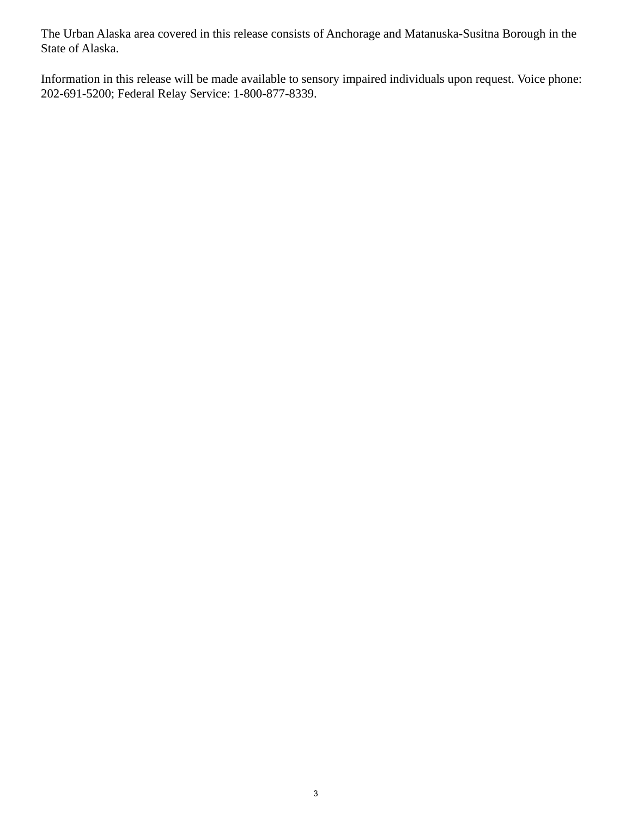The Urban Alaska area covered in this release consists of Anchorage and Matanuska-Susitna Borough in the State of Alaska.

Information in this release will be made available to sensory impaired individuals upon request. Voice phone: 202-691-5200; Federal Relay Service: 1-800-877-8339.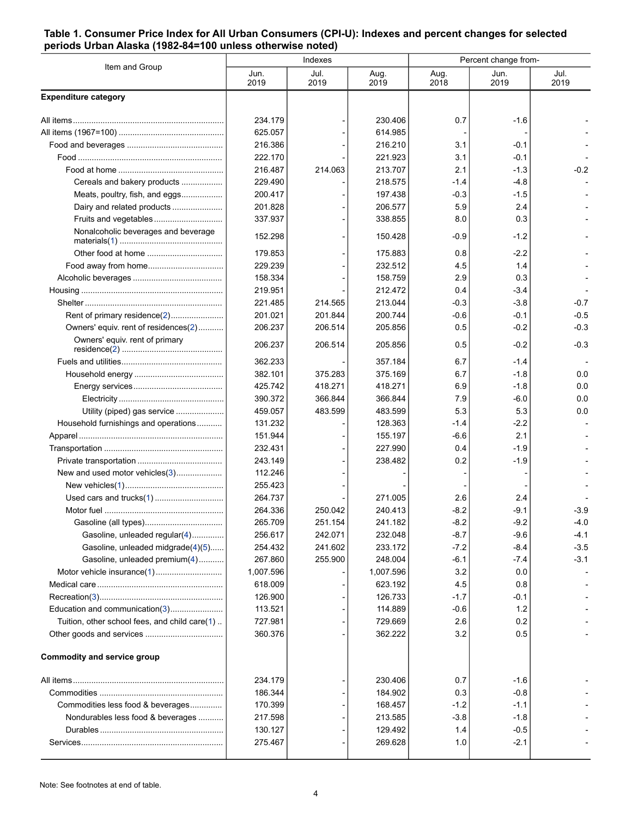### <span id="page-3-0"></span>**Table 1. Consumer Price Index for All Urban Consumers (CPI-U): Indexes and percent changes for selected periods Urban Alaska (1982-84=100 unless otherwise noted)**

| Item and Group                                | Indexes      |              |              | Percent change from- |              |              |
|-----------------------------------------------|--------------|--------------|--------------|----------------------|--------------|--------------|
|                                               | Jun.<br>2019 | Jul.<br>2019 | Aug.<br>2019 | Aug.<br>2018         | Jun.<br>2019 | Jul.<br>2019 |
| <b>Expenditure category</b>                   |              |              |              |                      |              |              |
|                                               | 234.179      |              | 230.406      | 0.7                  | $-1.6$       |              |
|                                               | 625.057      |              | 614.985      |                      |              |              |
|                                               | 216.386      |              | 216.210      | 3.1                  | -0.1         |              |
|                                               | 222.170      |              | 221.923      | 3.1                  | $-0.1$       |              |
|                                               | 216.487      | 214.063      | 213.707      | 2.1                  | $-1.3$       | $-0.2$       |
| Cereals and bakery products                   | 229.490      |              | 218.575      | -1.4                 | -4.8         |              |
| Meats, poultry, fish, and eggs                | 200.417      |              | 197.438      | $-0.3$               | $-1.5$       |              |
| Dairy and related products                    | 201.828      |              | 206.577      | 5.9                  | 2.4          |              |
| Fruits and vegetables                         | 337.937      |              | 338.855      | 8.0                  | 0.3          |              |
| Nonalcoholic beverages and beverage           | 152.298      |              | 150.428      | $-0.9$               | -1.2         |              |
|                                               | 179.853      |              | 175.883      | 0.8                  | $-2.2$       |              |
|                                               | 229.239      |              | 232.512      | 4.5                  | 1.4          |              |
|                                               | 158.334      |              | 158.759      | 2.9                  | 0.3          |              |
|                                               | 219.951      |              | 212.472      | 0.4                  | $-3.4$       |              |
|                                               | 221.485      | 214.565      | 213.044      | $-0.3$               | $-3.8$       | $-0.7$       |
| Rent of primary residence(2)                  | 201.021      | 201.844      | 200.744      | $-0.6$               | $-0.1$       | $-0.5$       |
| Owners' equiv. rent of residences(2)          | 206.237      | 206.514      | 205.856      | 0.5                  | $-0.2$       | $-0.3$       |
| Owners' equiv. rent of primary                | 206.237      | 206.514      | 205.856      | 0.5                  | $-0.2$       | $-0.3$       |
|                                               | 362.233      |              | 357.184      | 6.7                  | -1.4         |              |
|                                               | 382.101      | 375.283      | 375.169      | 6.7                  | $-1.8$       | 0.0          |
|                                               | 425.742      | 418.271      | 418.271      | 6.9                  | $-1.8$       | 0.0          |
|                                               | 390.372      | 366.844      | 366.844      | 7.9                  | $-6.0$       | 0.0          |
| Utility (piped) gas service                   | 459.057      | 483.599      | 483.599      | 5.3                  | 5.3          | 0.0          |
| Household furnishings and operations          | 131.232      |              | 128.363      | $-1.4$               | $-2.2$       |              |
|                                               | 151.944      |              | 155.197      | $-6.6$               | 2.1          |              |
|                                               | 232.431      |              | 227.990      | 0.4                  | $-1.9$       |              |
|                                               | 243.149      |              | 238.482      | 0.2                  | $-1.9$       |              |
| New and used motor vehicles(3)                | 112.246      |              |              |                      |              |              |
|                                               | 255.423      |              |              |                      |              |              |
|                                               | 264.737      |              | 271.005      | 2.6                  | 2.4          |              |
|                                               | 264.336      | 250.042      | 240.413      | $-8.2$               | $-9.1$       | $-3.9$       |
|                                               | 265.709      | 251.154      | 241.182      | $-8.2$               | $-9.2$       | $-4.0$       |
| Gasoline, unleaded regular(4)                 | 256.617      | 242.071      | 232.048      | -8.7                 | $-9.6$       | -4.1         |
| Gasoline, unleaded midgrade(4)(5)             | 254.432      | 241.602      | 233.172      | $-7.2$               | $-8.4$       | $-3.5$       |
| Gasoline, unleaded premium(4)                 | 267.860      | 255.900      | 248.004      | $-6.1$               | $-7.4$       | $-3.1$       |
| Motor vehicle insurance(1)                    | 1,007.596    |              | 1,007.596    | 3.2                  | 0.0          |              |
|                                               | 618.009      |              | 623.192      | 4.5                  | 0.8          |              |
|                                               | 126.900      |              | 126.733      | $-1.7$               | $-0.1$       |              |
| Education and communication(3)                | 113.521      |              | 114.889      | $-0.6$               | 1.2          |              |
| Tuition, other school fees, and child care(1) | 727.981      |              | 729.669      | 2.6                  | 0.2          |              |
|                                               | 360.376      |              | 362.222      | 3.2                  | 0.5          |              |
| <b>Commodity and service group</b>            |              |              |              |                      |              |              |
|                                               | 234.179      |              | 230.406      | 0.7                  | $-1.6$       |              |
|                                               | 186.344      |              | 184.902      | 0.3                  | $-0.8$       |              |
| Commodities less food & beverages             | 170.399      |              | 168.457      | $-1.2$               | $-1.1$       |              |
| Nondurables less food & beverages             | 217.598      |              | 213.585      | $-3.8$               | $-1.8$       |              |
|                                               | 130.127      |              | 129.492      | 1.4                  | $-0.5$       |              |
|                                               | 275.467      |              | 269.628      | 1.0                  | $-2.1$       |              |